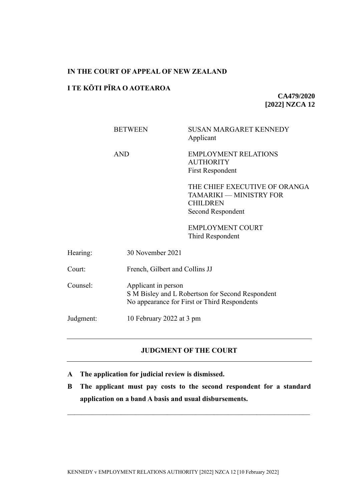### **IN THE COURT OF APPEAL OF NEW ZEALAND**

### **I TE KŌTI PĪRA O AOTEAROA**

**CA479/2020 [2022] NZCA 12**

|           | <b>BETWEEN</b>      | <b>SUSAN MARGARET KENNEDY</b><br>Applicant                                                       |  |
|-----------|---------------------|--------------------------------------------------------------------------------------------------|--|
|           | <b>AND</b>          | <b>EMPLOYMENT RELATIONS</b><br><b>AUTHORITY</b><br><b>First Respondent</b>                       |  |
|           |                     | THE CHIEF EXECUTIVE OF ORANGA<br>TAMARIKI — MINISTRY FOR<br><b>CHILDREN</b><br>Second Respondent |  |
|           |                     | <b>EMPLOYMENT COURT</b><br>Third Respondent                                                      |  |
| Hearing:  | 30 November 2021    |                                                                                                  |  |
| Court:    |                     | French, Gilbert and Collins JJ                                                                   |  |
| Counsel:  | Applicant in person | S M Bisley and L Robertson for Second Respondent<br>No appearance for First or Third Respondents |  |
| Judgment: |                     | 10 February 2022 at 3 pm                                                                         |  |
|           |                     |                                                                                                  |  |

# **JUDGMENT OF THE COURT**

- **A The application for judicial review is dismissed.**
- **B The applicant must pay costs to the second respondent for a standard application on a band A basis and usual disbursements.**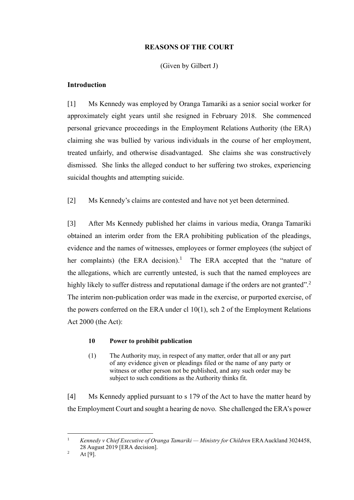## **REASONS OF THE COURT**

# (Given by Gilbert J)

# **Introduction**

[1] Ms Kennedy was employed by Oranga Tamariki as a senior social worker for approximately eight years until she resigned in February 2018. She commenced personal grievance proceedings in the Employment Relations Authority (the ERA) claiming she was bullied by various individuals in the course of her employment, treated unfairly, and otherwise disadvantaged. She claims she was constructively dismissed. She links the alleged conduct to her suffering two strokes, experiencing suicidal thoughts and attempting suicide.

[2] Ms Kennedy's claims are contested and have not yet been determined.

[3] After Ms Kennedy published her claims in various media, Oranga Tamariki obtained an interim order from the ERA prohibiting publication of the pleadings, evidence and the names of witnesses, employees or former employees (the subject of her complaints) (the ERA decision).<sup>1</sup> The ERA accepted that the "nature of the allegations, which are currently untested, is such that the named employees are highly likely to suffer distress and reputational damage if the orders are not granted".<sup>2</sup> The interim non-publication order was made in the exercise, or purported exercise, of the powers conferred on the ERA under cl 10(1), sch 2 of the Employment Relations Act 2000 (the Act):

## **10 Power to prohibit publication**

(1) The Authority may, in respect of any matter, order that all or any part of any evidence given or pleadings filed or the name of any party or witness or other person not be published, and any such order may be subject to such conditions as the Authority thinks fit.

[4] Ms Kennedy applied pursuant to s 179 of the Act to have the matter heard by the Employment Court and sought a hearing de novo. She challenged the ERA's power

<sup>1</sup> *Kennedy v Chief Executive of Oranga Tamariki — Ministry for Children* ERA Auckland 3024458, 28 August 2019 [ERA decision].

<sup>&</sup>lt;sup>2</sup> At [9].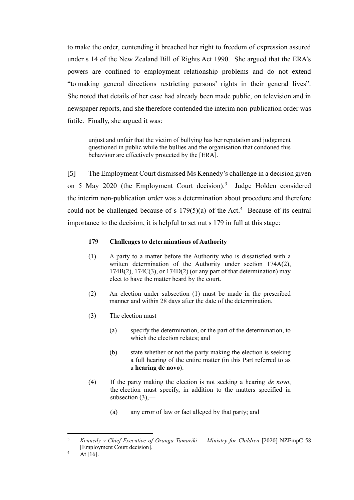to make the order, contending it breached her right to freedom of expression assured under s 14 of the New Zealand Bill of Rights Act 1990. She argued that the ERA's powers are confined to employment relationship problems and do not extend "to making general directions restricting persons' rights in their general lives". She noted that details of her case had already been made public, on television and in newspaper reports, and she therefore contended the interim non-publication order was futile. Finally, she argued it was:

unjust and unfair that the victim of bullying has her reputation and judgement questioned in public while the bullies and the organisation that condoned this behaviour are effectively protected by the [ERA].

[5] The Employment Court dismissed Ms Kennedy's challenge in a decision given on 5 May 2020 (the Employment Court decision).<sup>3</sup> Judge Holden considered the interim non-publication order was a determination about procedure and therefore could not be challenged because of s  $179(5)(a)$  of the Act.<sup>4</sup> Because of its central importance to the decision, it is helpful to set out s 179 in full at this stage:

#### **179 Challenges to determinations of Authority**

- (1) A party to a matter before the Authority who is dissatisfied with a written determination of the Authority under section 174A(2),  $174B(2)$ ,  $174C(3)$ , or  $174D(2)$  (or any part of that determination) may elect to have the matter heard by the court.
- (2) An election under subsection (1) must be made in the prescribed manner and within 28 days after the date of the determination.
- (3) The election must—
	- (a) specify the determination, or the part of the determination, to which the election relates; and
	- (b) state whether or not the party making the election is seeking a full hearing of the entire matter (in this Part referred to as a **hearing de novo**).
- (4) If the party making the election is not seeking a hearing *de novo*, the election must specify, in addition to the matters specified in subsection  $(3)$ ,—
	- (a) any error of law or fact alleged by that party; and

<sup>3</sup> *Kennedy v Chief Executive of Oranga Tamariki — Ministry for Children* [2020] NZEmpC 58 [Employment Court decision].

 $^{4}$  At [16].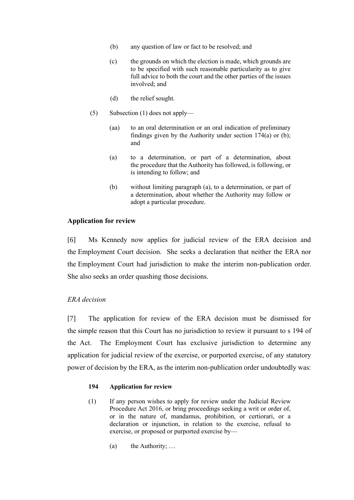- (b) any question of law or fact to be resolved; and
- (c) the grounds on which the election is made, which grounds are to be specified with such reasonable particularity as to give full advice to both the court and the other parties of the issues involved; and
- (d) the relief sought.
- (5) Subsection (1) does not apply—
	- (aa) to an oral determination or an oral indication of preliminary findings given by the Authority under section  $174(a)$  or (b); and
	- (a) to a determination, or part of a determination, about the procedure that the Authority has followed, is following, or is intending to follow; and
	- (b) without limiting paragraph (a), to a determination, or part of a determination, about whether the Authority may follow or adopt a particular procedure.

### **Application for review**

[6] Ms Kennedy now applies for judicial review of the ERA decision and the Employment Court decision. She seeks a declaration that neither the ERA nor the Employment Court had jurisdiction to make the interim non-publication order. She also seeks an order quashing those decisions.

### *ERA decision*

[7] The application for review of the ERA decision must be dismissed for the simple reason that this Court has no jurisdiction to review it pursuant to s 194 of the Act. The Employment Court has exclusive jurisdiction to determine any application for judicial review of the exercise, or purported exercise, of any statutory power of decision by the ERA, as the interim non-publication order undoubtedly was:

### **194 Application for review**

- (1) If any person wishes to apply for review under the Judicial Review Procedure Act 2016, or bring proceedings seeking a writ or order of, or in the nature of, mandamus, prohibition, or certiorari, or a declaration or injunction, in relation to the exercise, refusal to exercise, or proposed or purported exercise by—
	- (a) the Authority; …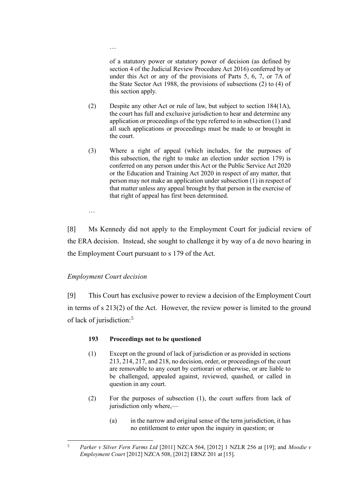of a statutory power or statutory power of decision (as defined by section 4 of the Judicial Review Procedure Act 2016) conferred by or under this Act or any of the provisions of Parts  $5, 6, 7$ , or  $7\overline{A}$  of the State Sector Act 1988, the provisions of subsections (2) to (4) of this section apply.

- (2) Despite any other Act or rule of law, but subject to section 184(1A), the court has full and exclusive jurisdiction to hear and determine any application or proceedings of the type referred to in subsection (1) and all such applications or proceedings must be made to or brought in the court.
- (3) Where a right of appeal (which includes, for the purposes of this subsection, the right to make an election under section 179) is conferred on any person under this Act or the Public Service Act 2020 or the Education and Training Act 2020 in respect of any matter, that person may not make an application under subsection (1) in respect of that matter unless any appeal brought by that person in the exercise of that right of appeal has first been determined.

…

[8] Ms Kennedy did not apply to the Employment Court for judicial review of the ERA decision. Instead, she sought to challenge it by way of a de novo hearing in the Employment Court pursuant to s 179 of the Act.

## *Employment Court decision*

…

[9] This Court has exclusive power to review a decision of the Employment Court in terms of s 213(2) of the Act. However, the review power is limited to the ground of lack of jurisdiction:<sup>5</sup>

## **193 Proceedings not to be questioned**

- (1) Except on the ground of lack of jurisdiction or as provided in sections 213, 214, 217, and 218, no decision, order, or proceedings of the court are removable to any court by certiorari or otherwise, or are liable to be challenged, appealed against, reviewed, quashed, or called in question in any court.
- (2) For the purposes of subsection (1), the court suffers from lack of jurisdiction only where,—
	- (a) in the narrow and original sense of the term jurisdiction, it has no entitlement to enter upon the inquiry in question; or

<sup>5</sup> *Parker v Silver Fern Farms Ltd* [2011] NZCA 564, [2012] 1 NZLR 256 at [19]; and *Moodie v Employment Court* [2012] NZCA 508, [2012] ERNZ 201 at [15].